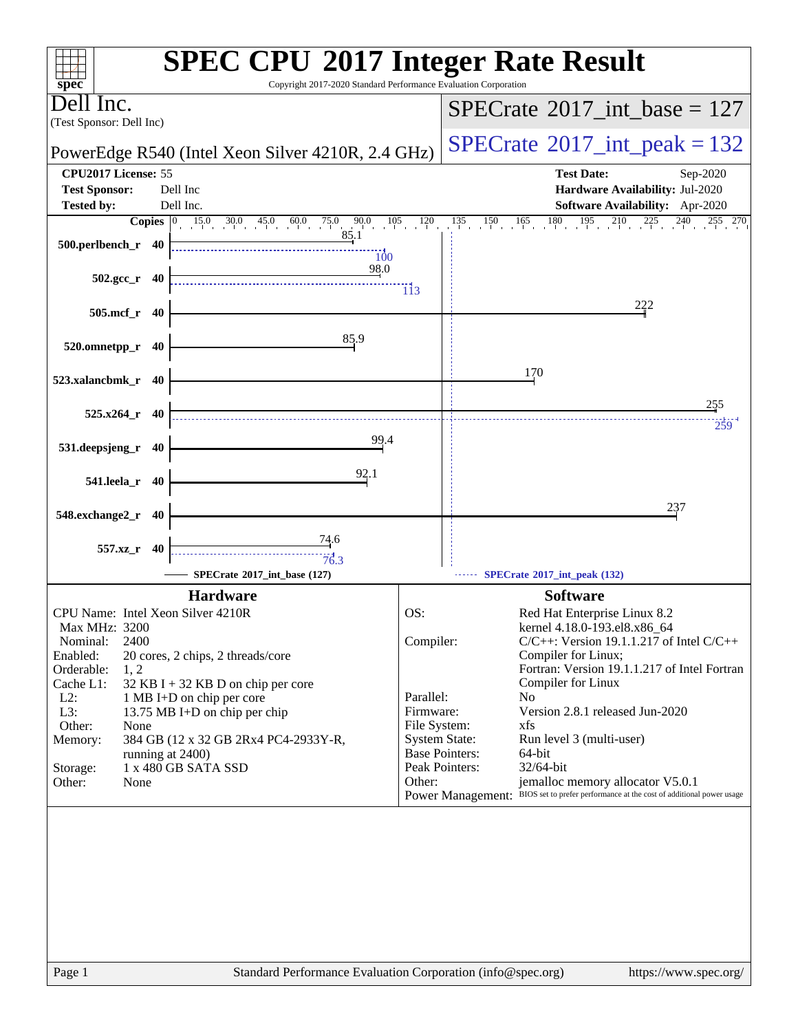| Copyright 2017-2020 Standard Performance Evaluation Corporation<br>$\mathbf{spec}^*$                                                                                                                                                                                                                                                                                                                                            | <b>SPEC CPU®2017 Integer Rate Result</b>                                                                                                                                                                                                                                                                                                                                                                                                                                                                                                                                        |
|---------------------------------------------------------------------------------------------------------------------------------------------------------------------------------------------------------------------------------------------------------------------------------------------------------------------------------------------------------------------------------------------------------------------------------|---------------------------------------------------------------------------------------------------------------------------------------------------------------------------------------------------------------------------------------------------------------------------------------------------------------------------------------------------------------------------------------------------------------------------------------------------------------------------------------------------------------------------------------------------------------------------------|
| Jell Inc.<br>(Test Sponsor: Dell Inc)                                                                                                                                                                                                                                                                                                                                                                                           | $SPECTate@2017\_int\_base = 127$                                                                                                                                                                                                                                                                                                                                                                                                                                                                                                                                                |
| PowerEdge R540 (Intel Xeon Silver 4210R, 2.4 GHz)                                                                                                                                                                                                                                                                                                                                                                               | $SPECTate$ <sup>®</sup> 2017_int_peak = 132                                                                                                                                                                                                                                                                                                                                                                                                                                                                                                                                     |
| CPU2017 License: 55<br><b>Test Sponsor:</b><br>Dell Inc<br>Dell Inc.<br><b>Tested by:</b>                                                                                                                                                                                                                                                                                                                                       | <b>Test Date:</b><br>Sep-2020<br>Hardware Availability: Jul-2020<br>Software Availability: Apr-2020                                                                                                                                                                                                                                                                                                                                                                                                                                                                             |
| <b>Copies</b> $\begin{bmatrix} 0 & 15.0 & 30.0 & 45.0 & 60.0 & 75.0 & 90.0 & 105 & 120 \end{bmatrix}$<br>85.1<br>500.perlbench_r 40                                                                                                                                                                                                                                                                                             | $150 \t165 \t180 \t195 \t210 \t225 \t240$<br>$\frac{135}{1}$<br>255 270                                                                                                                                                                                                                                                                                                                                                                                                                                                                                                         |
| 100<br>98.0<br>$502.\text{gcc r}$ 40                                                                                                                                                                                                                                                                                                                                                                                            | $\overline{113}$                                                                                                                                                                                                                                                                                                                                                                                                                                                                                                                                                                |
| 505.mcf_r 40                                                                                                                                                                                                                                                                                                                                                                                                                    | 222                                                                                                                                                                                                                                                                                                                                                                                                                                                                                                                                                                             |
| 85.9<br>520.omnetpp_r 40                                                                                                                                                                                                                                                                                                                                                                                                        | 170                                                                                                                                                                                                                                                                                                                                                                                                                                                                                                                                                                             |
| 523.xalancbmk_r 40                                                                                                                                                                                                                                                                                                                                                                                                              | 255                                                                                                                                                                                                                                                                                                                                                                                                                                                                                                                                                                             |
| $525.x264$ <sub>r</sub> 40<br>99.4<br>531.deepsjeng_r 40                                                                                                                                                                                                                                                                                                                                                                        | 259                                                                                                                                                                                                                                                                                                                                                                                                                                                                                                                                                                             |
| 92.1<br>541.leela_r 40                                                                                                                                                                                                                                                                                                                                                                                                          |                                                                                                                                                                                                                                                                                                                                                                                                                                                                                                                                                                                 |
| 548.exchange2_r 40                                                                                                                                                                                                                                                                                                                                                                                                              | 237                                                                                                                                                                                                                                                                                                                                                                                                                                                                                                                                                                             |
| 74.6<br>557.xz_r 40<br>76.3<br>SPECrate®2017_int_base (127)                                                                                                                                                                                                                                                                                                                                                                     | SPECrate*2017_int_peak (132)                                                                                                                                                                                                                                                                                                                                                                                                                                                                                                                                                    |
| <b>Hardware</b>                                                                                                                                                                                                                                                                                                                                                                                                                 | <b>Software</b>                                                                                                                                                                                                                                                                                                                                                                                                                                                                                                                                                                 |
| CPU Name: Intel Xeon Silver 4210R<br>Max MHz: 3200<br>2400<br>Nominal:<br>Enabled:<br>20 cores, 2 chips, 2 threads/core<br>Orderable:<br>1, 2<br>$32$ KB I + 32 KB D on chip per core<br>Cache L1:<br>$L2$ :<br>1 MB I+D on chip per core<br>L3:<br>13.75 MB I+D on chip per chip<br>Other:<br>None<br>Memory:<br>384 GB (12 x 32 GB 2Rx4 PC4-2933Y-R,<br>running at 2400)<br>1 x 480 GB SATA SSD<br>Storage:<br>Other:<br>None | OS:<br>Red Hat Enterprise Linux 8.2<br>kernel 4.18.0-193.el8.x86_64<br>Compiler:<br>$C/C++$ : Version 19.1.1.217 of Intel $C/C++$<br>Compiler for Linux;<br>Fortran: Version 19.1.1.217 of Intel Fortran<br>Compiler for Linux<br>Parallel:<br>No<br>Firmware:<br>Version 2.8.1 released Jun-2020<br>File System:<br>xfs<br>System State:<br>Run level 3 (multi-user)<br><b>Base Pointers:</b><br>64-bit<br>Peak Pointers:<br>32/64-bit<br>jemalloc memory allocator V5.0.1<br>Other:<br>Power Management: BIOS set to prefer performance at the cost of additional power usage |
|                                                                                                                                                                                                                                                                                                                                                                                                                                 |                                                                                                                                                                                                                                                                                                                                                                                                                                                                                                                                                                                 |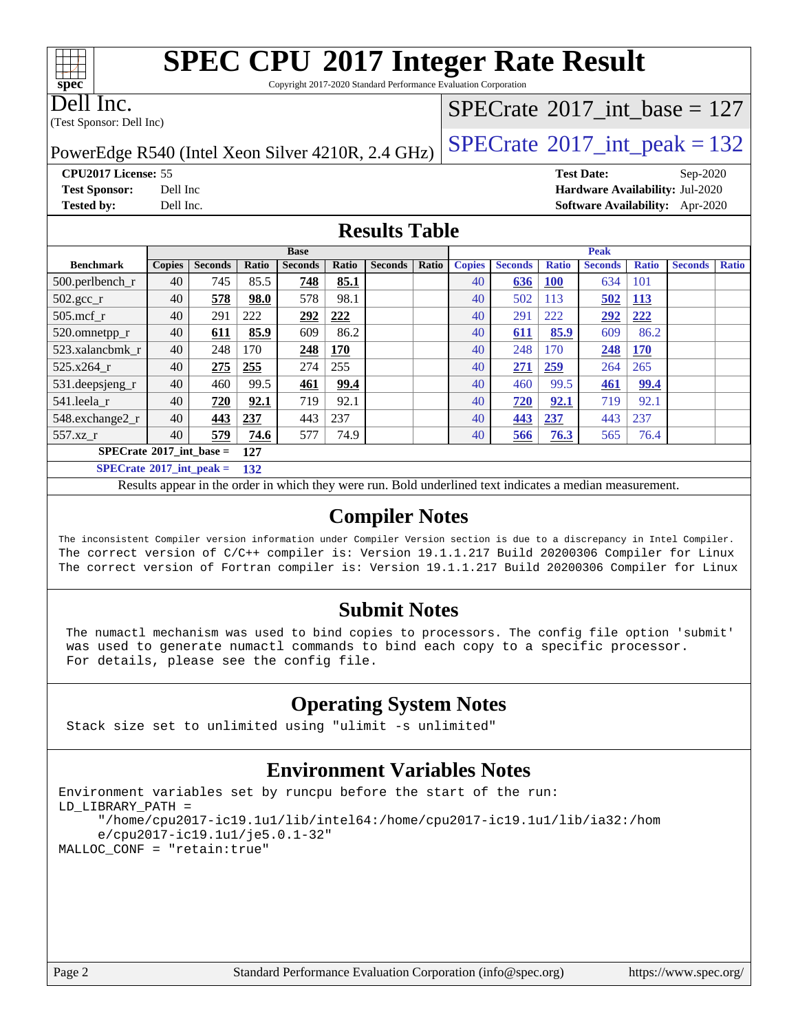Copyright 2017-2020 Standard Performance Evaluation Corporation

Dell Inc.

**[spec](http://www.spec.org/)**

 $+\ +$ 

(Test Sponsor: Dell Inc)

## $SPECTate@2017_int\_base = 127$

# PowerEdge R540 (Intel Xeon Silver 4210R, 2.4 GHz)  $\left|$  [SPECrate](http://www.spec.org/auto/cpu2017/Docs/result-fields.html#SPECrate2017intpeak)®[2017\\_int\\_peak = 1](http://www.spec.org/auto/cpu2017/Docs/result-fields.html#SPECrate2017intpeak)32

**[CPU2017 License:](http://www.spec.org/auto/cpu2017/Docs/result-fields.html#CPU2017License)** 55 **[Test Date:](http://www.spec.org/auto/cpu2017/Docs/result-fields.html#TestDate)** Sep-2020 **[Test Sponsor:](http://www.spec.org/auto/cpu2017/Docs/result-fields.html#TestSponsor)** Dell Inc **[Hardware Availability:](http://www.spec.org/auto/cpu2017/Docs/result-fields.html#HardwareAvailability)** Jul-2020 **[Tested by:](http://www.spec.org/auto/cpu2017/Docs/result-fields.html#Testedby)** Dell Inc. **[Software Availability:](http://www.spec.org/auto/cpu2017/Docs/result-fields.html#SoftwareAvailability)** Apr-2020

## **[Results Table](http://www.spec.org/auto/cpu2017/Docs/result-fields.html#ResultsTable)**

|                                   | <b>Base</b>   |                |       |                |            |                | <b>Peak</b> |               |                |              |                |              |                |              |
|-----------------------------------|---------------|----------------|-------|----------------|------------|----------------|-------------|---------------|----------------|--------------|----------------|--------------|----------------|--------------|
| <b>Benchmark</b>                  | <b>Copies</b> | <b>Seconds</b> | Ratio | <b>Seconds</b> | Ratio      | <b>Seconds</b> | Ratio       | <b>Copies</b> | <b>Seconds</b> | <b>Ratio</b> | <b>Seconds</b> | <b>Ratio</b> | <b>Seconds</b> | <b>Ratio</b> |
| $500.$ perlbench_r                | 40            | 745            | 85.5  | 748            | 85.1       |                |             | 40            | 636            | <b>100</b>   | 634            | 101          |                |              |
| $502.\text{sec}$                  | 40            | 578            | 98.0  | 578            | 98.1       |                |             | 40            | 502            | 113          | 502            | <b>113</b>   |                |              |
| $505$ .mcf r                      | 40            | 291            | 222   | 292            | 222        |                |             | 40            | 291            | 222          | 292            | 222          |                |              |
| 520.omnetpp_r                     | 40            | 611            | 85.9  | 609            | 86.2       |                |             | 40            | <u>611</u>     | 85.9         | 609            | 86.2         |                |              |
| 523.xalancbmk r                   | 40            | 248            | 170   | 248            | <b>170</b> |                |             | 40            | 248            | 170          | 248            | <b>170</b>   |                |              |
| 525.x264 r                        | 40            | 275            | 255   | 274            | 255        |                |             | 40            | 271            | 259          | 264            | 265          |                |              |
| 531.deepsjeng_r                   | 40            | 460            | 99.5  | 461            | 99.4       |                |             | 40            | 460            | 99.5         | 461            | 99.4         |                |              |
| 541.leela r                       | 40            | 720            | 92.1  | 719            | 92.1       |                |             | 40            | 720            | 92.1         | 719            | 92.1         |                |              |
| 548.exchange2_r                   | 40            | 443            | 237   | 443            | 237        |                |             | 40            | 443            | 237          | 443            | 237          |                |              |
| $557.xz$ r                        | 40            | 579            | 74.6  | 577            | 74.9       |                |             | 40            | 566            | 76.3         | 565            | 76.4         |                |              |
| $SPECrate^{\circ}2017$ int base = |               |                | 127   |                |            |                |             |               |                |              |                |              |                |              |
| $SPECrate^{\circ}2017$ int peak = |               |                | 132   |                |            |                |             |               |                |              |                |              |                |              |

Results appear in the [order in which they were run.](http://www.spec.org/auto/cpu2017/Docs/result-fields.html#RunOrder) Bold underlined text [indicates a median measurement.](http://www.spec.org/auto/cpu2017/Docs/result-fields.html#Median)

### **[Compiler Notes](http://www.spec.org/auto/cpu2017/Docs/result-fields.html#CompilerNotes)**

The inconsistent Compiler version information under Compiler Version section is due to a discrepancy in Intel Compiler. The correct version of C/C++ compiler is: Version 19.1.1.217 Build 20200306 Compiler for Linux The correct version of Fortran compiler is: Version 19.1.1.217 Build 20200306 Compiler for Linux

## **[Submit Notes](http://www.spec.org/auto/cpu2017/Docs/result-fields.html#SubmitNotes)**

 The numactl mechanism was used to bind copies to processors. The config file option 'submit' was used to generate numactl commands to bind each copy to a specific processor. For details, please see the config file.

## **[Operating System Notes](http://www.spec.org/auto/cpu2017/Docs/result-fields.html#OperatingSystemNotes)**

Stack size set to unlimited using "ulimit -s unlimited"

## **[Environment Variables Notes](http://www.spec.org/auto/cpu2017/Docs/result-fields.html#EnvironmentVariablesNotes)**

```
Environment variables set by runcpu before the start of the run:
LD_LIBRARY_PATH =
      "/home/cpu2017-ic19.1u1/lib/intel64:/home/cpu2017-ic19.1u1/lib/ia32:/hom
      e/cpu2017-ic19.1u1/je5.0.1-32"
MALLOC_CONF = "retain:true"
```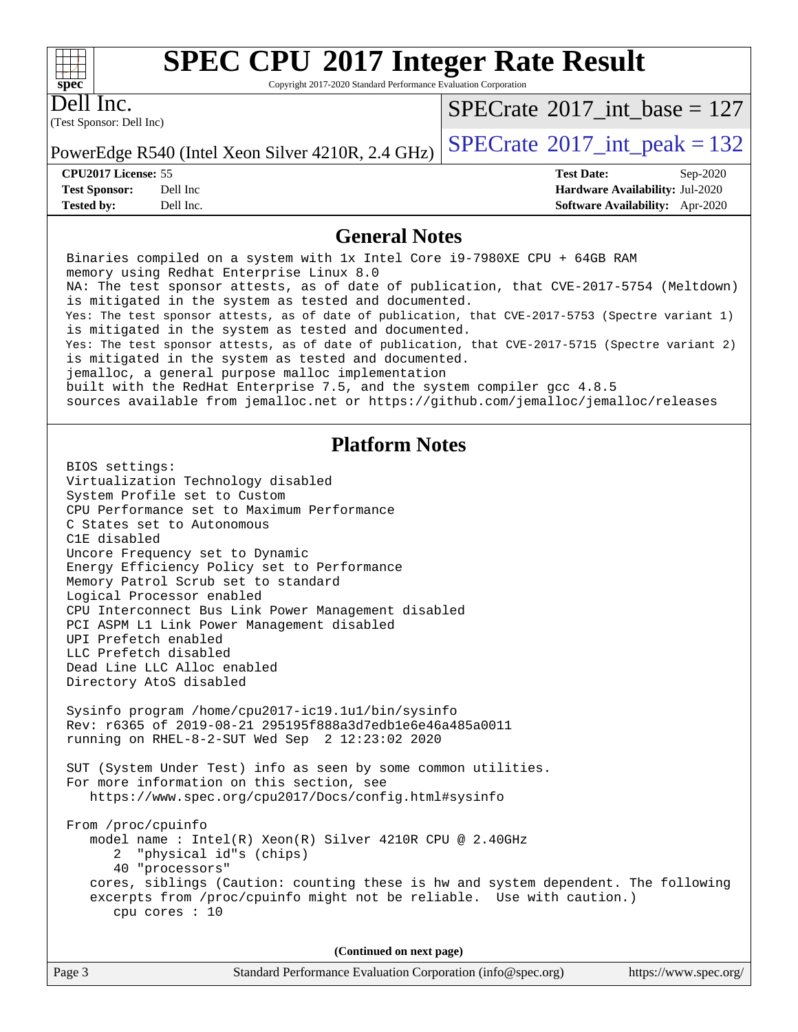#### $+\hskip -1.5pt +\hskip -1.5pt +$ **[spec](http://www.spec.org/)**

# **[SPEC CPU](http://www.spec.org/auto/cpu2017/Docs/result-fields.html#SPECCPU2017IntegerRateResult)[2017 Integer Rate Result](http://www.spec.org/auto/cpu2017/Docs/result-fields.html#SPECCPU2017IntegerRateResult)**

Copyright 2017-2020 Standard Performance Evaluation Corporation

(Test Sponsor: Dell Inc) Dell Inc.

 $SPECrate$ <sup>®</sup>[2017\\_int\\_base =](http://www.spec.org/auto/cpu2017/Docs/result-fields.html#SPECrate2017intbase) 127

PowerEdge R540 (Intel Xeon Silver 4210R, 2.4 GHz)  $\left|$  [SPECrate](http://www.spec.org/auto/cpu2017/Docs/result-fields.html#SPECrate2017intpeak)<sup>®</sup>[2017\\_int\\_peak = 1](http://www.spec.org/auto/cpu2017/Docs/result-fields.html#SPECrate2017intpeak)32

**[Test Sponsor:](http://www.spec.org/auto/cpu2017/Docs/result-fields.html#TestSponsor)** Dell Inc **[Hardware Availability:](http://www.spec.org/auto/cpu2017/Docs/result-fields.html#HardwareAvailability)** Jul-2020 **[Tested by:](http://www.spec.org/auto/cpu2017/Docs/result-fields.html#Testedby)** Dell Inc. **[Software Availability:](http://www.spec.org/auto/cpu2017/Docs/result-fields.html#SoftwareAvailability)** Apr-2020

**[CPU2017 License:](http://www.spec.org/auto/cpu2017/Docs/result-fields.html#CPU2017License)** 55 **[Test Date:](http://www.spec.org/auto/cpu2017/Docs/result-fields.html#TestDate)** Sep-2020

### **[General Notes](http://www.spec.org/auto/cpu2017/Docs/result-fields.html#GeneralNotes)**

 Binaries compiled on a system with 1x Intel Core i9-7980XE CPU + 64GB RAM memory using Redhat Enterprise Linux 8.0 NA: The test sponsor attests, as of date of publication, that CVE-2017-5754 (Meltdown) is mitigated in the system as tested and documented. Yes: The test sponsor attests, as of date of publication, that CVE-2017-5753 (Spectre variant 1) is mitigated in the system as tested and documented. Yes: The test sponsor attests, as of date of publication, that CVE-2017-5715 (Spectre variant 2) is mitigated in the system as tested and documented. jemalloc, a general purpose malloc implementation built with the RedHat Enterprise 7.5, and the system compiler gcc 4.8.5 sources available from jemalloc.net or<https://github.com/jemalloc/jemalloc/releases> **[Platform Notes](http://www.spec.org/auto/cpu2017/Docs/result-fields.html#PlatformNotes)** BIOS settings: Virtualization Technology disabled System Profile set to Custom CPU Performance set to Maximum Performance C States set to Autonomous C1E disabled Uncore Frequency set to Dynamic Energy Efficiency Policy set to Performance Memory Patrol Scrub set to standard Logical Processor enabled CPU Interconnect Bus Link Power Management disabled PCI ASPM L1 Link Power Management disabled UPI Prefetch enabled LLC Prefetch disabled Dead Line LLC Alloc enabled Directory AtoS disabled Sysinfo program /home/cpu2017-ic19.1u1/bin/sysinfo Rev: r6365 of 2019-08-21 295195f888a3d7edb1e6e46a485a0011 running on RHEL-8-2-SUT Wed Sep 2 12:23:02 2020 SUT (System Under Test) info as seen by some common utilities. For more information on this section, see <https://www.spec.org/cpu2017/Docs/config.html#sysinfo> From /proc/cpuinfo model name : Intel(R) Xeon(R) Silver 4210R CPU @ 2.40GHz 2 "physical id"s (chips) 40 "processors" cores, siblings (Caution: counting these is hw and system dependent. The following excerpts from /proc/cpuinfo might not be reliable. Use with caution.) cpu cores : 10 **(Continued on next page)**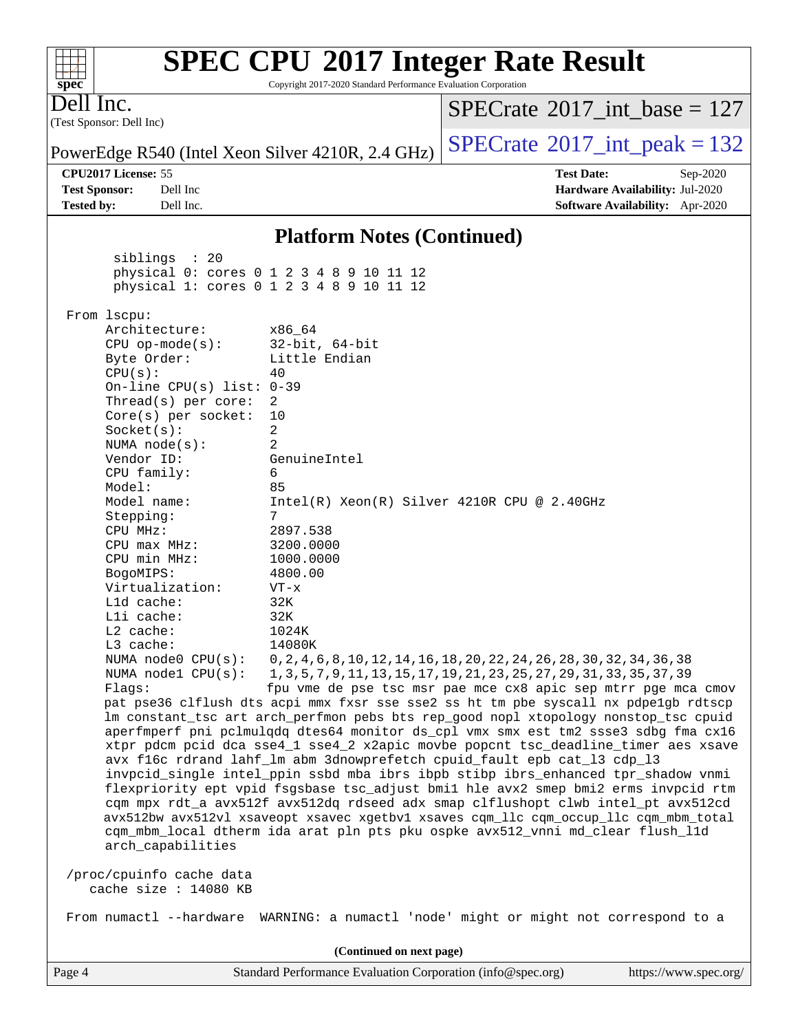#### **[spec](http://www.spec.org/) [SPEC CPU](http://www.spec.org/auto/cpu2017/Docs/result-fields.html#SPECCPU2017IntegerRateResult)[2017 Integer Rate Result](http://www.spec.org/auto/cpu2017/Docs/result-fields.html#SPECCPU2017IntegerRateResult)** Copyright 2017-2020 Standard Performance Evaluation Corporation (Test Sponsor: Dell Inc) Dell Inc. PowerEdge R540 (Intel Xeon Silver 4210R, 2.4 GHz)  $\left|$  [SPECrate](http://www.spec.org/auto/cpu2017/Docs/result-fields.html#SPECrate2017intpeak)<sup>®</sup>[2017\\_int\\_peak = 1](http://www.spec.org/auto/cpu2017/Docs/result-fields.html#SPECrate2017intpeak)32  $SPECTate$ <sup>®</sup>[2017\\_int\\_base =](http://www.spec.org/auto/cpu2017/Docs/result-fields.html#SPECrate2017intbase) 127 **[CPU2017 License:](http://www.spec.org/auto/cpu2017/Docs/result-fields.html#CPU2017License)** 55 **[Test Date:](http://www.spec.org/auto/cpu2017/Docs/result-fields.html#TestDate)** Sep-2020 **[Test Sponsor:](http://www.spec.org/auto/cpu2017/Docs/result-fields.html#TestSponsor)** Dell Inc **[Hardware Availability:](http://www.spec.org/auto/cpu2017/Docs/result-fields.html#HardwareAvailability)** Jul-2020 **[Tested by:](http://www.spec.org/auto/cpu2017/Docs/result-fields.html#Testedby)** Dell Inc. **[Software Availability:](http://www.spec.org/auto/cpu2017/Docs/result-fields.html#SoftwareAvailability)** Apr-2020 **[Platform Notes \(Continued\)](http://www.spec.org/auto/cpu2017/Docs/result-fields.html#PlatformNotes)** siblings : 20 physical 0: cores 0 1 2 3 4 8 9 10 11 12 physical 1: cores 0 1 2 3 4 8 9 10 11 12 From lscpu: Architecture: x86\_64 CPU op-mode(s): 32-bit, 64-bit Byte Order: Little Endian  $CPU(s):$  40 On-line CPU(s) list: 0-39 Thread(s) per core: 2 Core(s) per socket: 10 Socket(s): 2 NUMA node(s): 2 Vendor ID: GenuineIntel CPU family: 6 Model: 85 Model name: Intel(R) Xeon(R) Silver 4210R CPU @ 2.40GHz Stepping: 7 CPU MHz: 2897.538 CPU max MHz: 3200.0000 CPU min MHz: 1000.0000 BogoMIPS: 4800.00 Virtualization: VT-x L1d cache: 32K L1i cache: 32K<br>
L2 cache: 1024K  $L2$  cache: L3 cache: 14080K NUMA node0 CPU(s): 0,2,4,6,8,10,12,14,16,18,20,22,24,26,28,30,32,34,36,38 NUMA node1 CPU(s): 1,3,5,7,9,11,13,15,17,19,21,23,25,27,29,31,33,35,37,39 Flags: fpu vme de pse tsc msr pae mce cx8 apic sep mtrr pge mca cmov pat pse36 clflush dts acpi mmx fxsr sse sse2 ss ht tm pbe syscall nx pdpe1gb rdtscp lm constant\_tsc art arch\_perfmon pebs bts rep\_good nopl xtopology nonstop\_tsc cpuid aperfmperf pni pclmulqdq dtes64 monitor ds\_cpl vmx smx est tm2 ssse3 sdbg fma cx16 xtpr pdcm pcid dca sse4\_1 sse4\_2 x2apic movbe popcnt tsc\_deadline\_timer aes xsave avx f16c rdrand lahf\_lm abm 3dnowprefetch cpuid\_fault epb cat\_l3 cdp\_l3 invpcid\_single intel\_ppin ssbd mba ibrs ibpb stibp ibrs\_enhanced tpr\_shadow vnmi flexpriority ept vpid fsgsbase tsc\_adjust bmi1 hle avx2 smep bmi2 erms invpcid rtm cqm mpx rdt\_a avx512f avx512dq rdseed adx smap clflushopt clwb intel\_pt avx512cd avx512bw avx512vl xsaveopt xsavec xgetbv1 xsaves cqm\_llc cqm\_occup\_llc cqm\_mbm\_total cqm\_mbm\_local dtherm ida arat pln pts pku ospke avx512\_vnni md\_clear flush\_l1d arch\_capabilities /proc/cpuinfo cache data cache size : 14080 KB From numactl --hardware WARNING: a numactl 'node' might or might not correspond to a **(Continued on next page)**

 $+\!\!+\!\!$ 

Page 4 Standard Performance Evaluation Corporation [\(info@spec.org\)](mailto:info@spec.org) <https://www.spec.org/>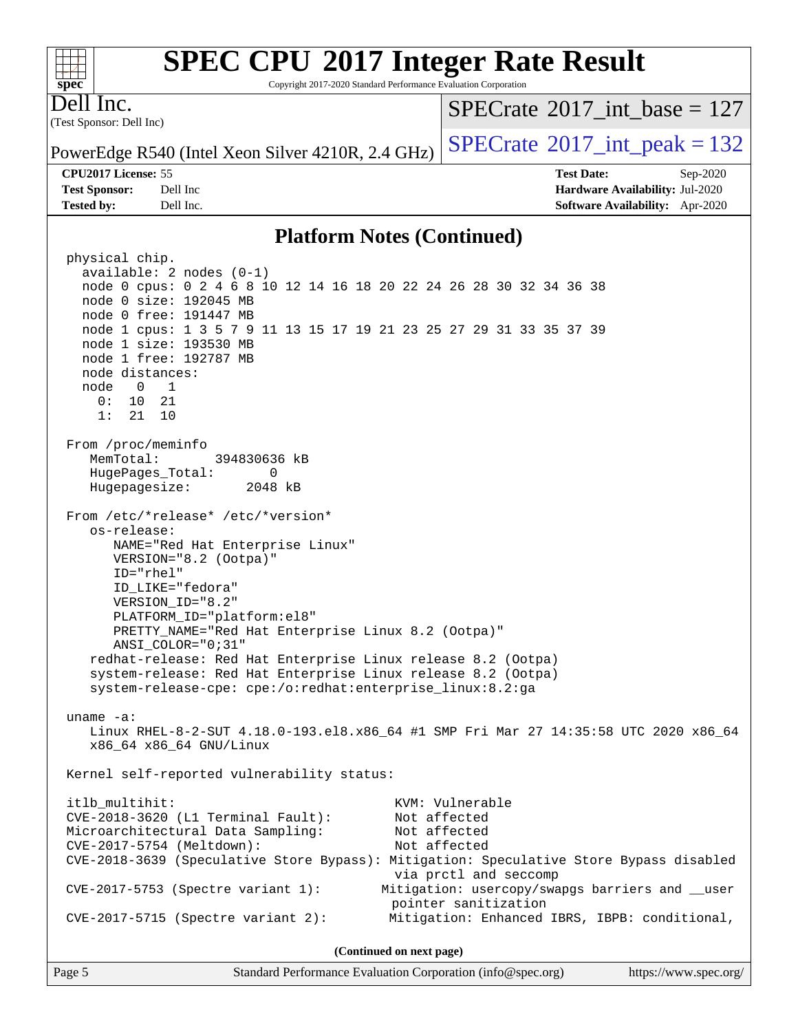Copyright 2017-2020 Standard Performance Evaluation Corporation

(Test Sponsor: Dell Inc) Dell Inc.

**[spec](http://www.spec.org/)**

 $+\ +$ 

 $SPECrate$ <sup>®</sup>[2017\\_int\\_base =](http://www.spec.org/auto/cpu2017/Docs/result-fields.html#SPECrate2017intbase) 127

**[CPU2017 License:](http://www.spec.org/auto/cpu2017/Docs/result-fields.html#CPU2017License)** 55 **[Test Date:](http://www.spec.org/auto/cpu2017/Docs/result-fields.html#TestDate)** Sep-2020

PowerEdge R540 (Intel Xeon Silver 4210R, 2.4 GHz)  $\left|$  [SPECrate](http://www.spec.org/auto/cpu2017/Docs/result-fields.html#SPECrate2017intpeak)<sup>®</sup>[2017\\_int\\_peak = 1](http://www.spec.org/auto/cpu2017/Docs/result-fields.html#SPECrate2017intpeak)32

**[Test Sponsor:](http://www.spec.org/auto/cpu2017/Docs/result-fields.html#TestSponsor)** Dell Inc **[Hardware Availability:](http://www.spec.org/auto/cpu2017/Docs/result-fields.html#HardwareAvailability)** Jul-2020 **[Tested by:](http://www.spec.org/auto/cpu2017/Docs/result-fields.html#Testedby)** Dell Inc. **[Software Availability:](http://www.spec.org/auto/cpu2017/Docs/result-fields.html#SoftwareAvailability)** Apr-2020

### **[Platform Notes \(Continued\)](http://www.spec.org/auto/cpu2017/Docs/result-fields.html#PlatformNotes)**

 physical chip. available: 2 nodes (0-1) node 0 cpus: 0 2 4 6 8 10 12 14 16 18 20 22 24 26 28 30 32 34 36 38 node 0 size: 192045 MB node 0 free: 191447 MB node 1 cpus: 1 3 5 7 9 11 13 15 17 19 21 23 25 27 29 31 33 35 37 39 node 1 size: 193530 MB node 1 free: 192787 MB node distances: node 0 1 0: 10 21 1: 21 10 From /proc/meminfo MemTotal: 394830636 kB HugePages\_Total: 0 Hugepagesize: 2048 kB From /etc/\*release\* /etc/\*version\* os-release: NAME="Red Hat Enterprise Linux" VERSION="8.2 (Ootpa)" ID="rhel" ID\_LIKE="fedora" VERSION\_ID="8.2" PLATFORM\_ID="platform:el8" PRETTY\_NAME="Red Hat Enterprise Linux 8.2 (Ootpa)" ANSI\_COLOR="0;31" redhat-release: Red Hat Enterprise Linux release 8.2 (Ootpa) system-release: Red Hat Enterprise Linux release 8.2 (Ootpa) system-release-cpe: cpe:/o:redhat:enterprise\_linux:8.2:ga uname -a: Linux RHEL-8-2-SUT 4.18.0-193.el8.x86\_64 #1 SMP Fri Mar 27 14:35:58 UTC 2020 x86\_64 x86\_64 x86\_64 GNU/Linux Kernel self-reported vulnerability status: itlb\_multihit: KVM: Vulnerable CVE-2018-3620 (L1 Terminal Fault): Not affected Microarchitectural Data Sampling: Not affected CVE-2017-5754 (Meltdown): Not affected CVE-2018-3639 (Speculative Store Bypass): Mitigation: Speculative Store Bypass disabled via prctl and seccomp CVE-2017-5753 (Spectre variant 1): Mitigation: usercopy/swapgs barriers and \_\_user pointer sanitization CVE-2017-5715 (Spectre variant 2): Mitigation: Enhanced IBRS, IBPB: conditional, **(Continued on next page)**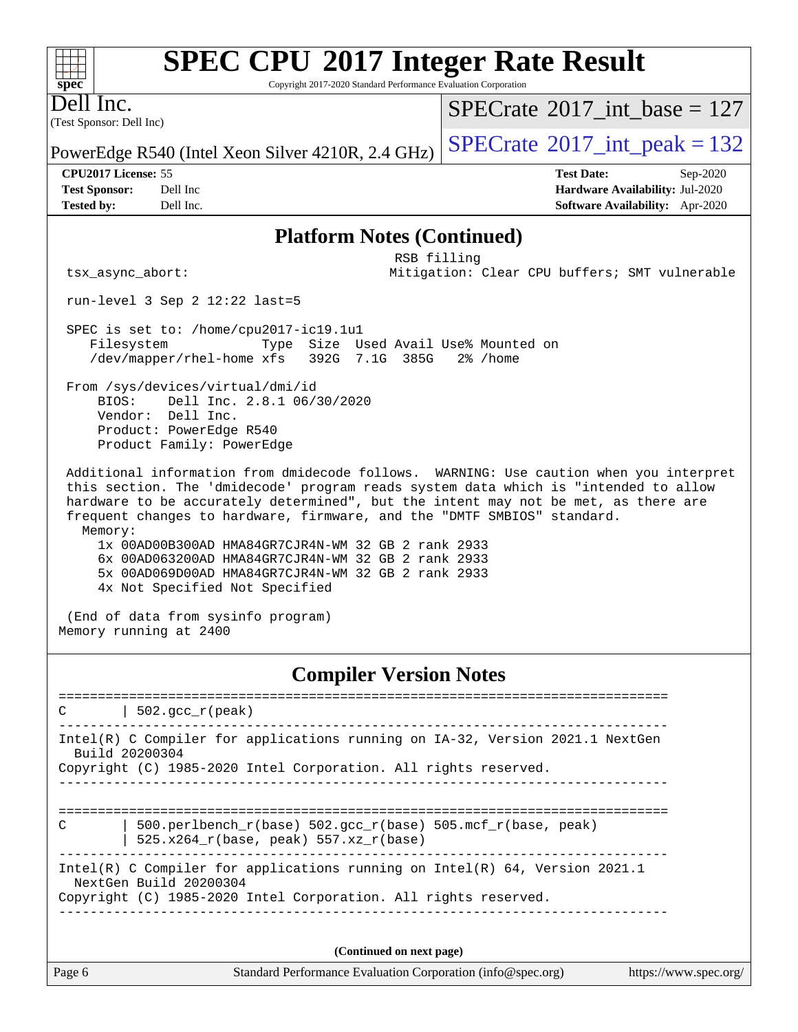Copyright 2017-2020 Standard Performance Evaluation Corporation

(Test Sponsor: Dell Inc) Dell Inc.

**[spec](http://www.spec.org/)**

 $+\hskip -1.5pt +\hskip -1.5pt +$ 

 $SPECrate$ <sup>®</sup>[2017\\_int\\_base =](http://www.spec.org/auto/cpu2017/Docs/result-fields.html#SPECrate2017intbase) 127

PowerEdge R540 (Intel Xeon Silver 4210R, 2.4 GHz)  $\left|$  [SPECrate](http://www.spec.org/auto/cpu2017/Docs/result-fields.html#SPECrate2017intpeak)<sup>®</sup>[2017\\_int\\_peak = 1](http://www.spec.org/auto/cpu2017/Docs/result-fields.html#SPECrate2017intpeak)32

**[CPU2017 License:](http://www.spec.org/auto/cpu2017/Docs/result-fields.html#CPU2017License)** 55 **[Test Date:](http://www.spec.org/auto/cpu2017/Docs/result-fields.html#TestDate)** Sep-2020

**[Test Sponsor:](http://www.spec.org/auto/cpu2017/Docs/result-fields.html#TestSponsor)** Dell Inc **[Hardware Availability:](http://www.spec.org/auto/cpu2017/Docs/result-fields.html#HardwareAvailability)** Jul-2020 **[Tested by:](http://www.spec.org/auto/cpu2017/Docs/result-fields.html#Testedby)** Dell Inc. **[Software Availability:](http://www.spec.org/auto/cpu2017/Docs/result-fields.html#SoftwareAvailability)** Apr-2020

#### **[Platform Notes \(Continued\)](http://www.spec.org/auto/cpu2017/Docs/result-fields.html#PlatformNotes)**

 RSB filling tsx\_async\_abort: Mitigation: Clear CPU buffers; SMT vulnerable

run-level 3 Sep 2 12:22 last=5

 SPEC is set to: /home/cpu2017-ic19.1u1 Filesystem Type Size Used Avail Use% Mounted on /dev/mapper/rhel-home xfs 392G 7.1G 385G 2% /home

 From /sys/devices/virtual/dmi/id BIOS: Dell Inc. 2.8.1 06/30/2020 Vendor: Dell Inc. Product: PowerEdge R540 Product Family: PowerEdge

 Additional information from dmidecode follows. WARNING: Use caution when you interpret this section. The 'dmidecode' program reads system data which is "intended to allow hardware to be accurately determined", but the intent may not be met, as there are frequent changes to hardware, firmware, and the "DMTF SMBIOS" standard. Memory:

 1x 00AD00B300AD HMA84GR7CJR4N-WM 32 GB 2 rank 2933 6x 00AD063200AD HMA84GR7CJR4N-WM 32 GB 2 rank 2933 5x 00AD069D00AD HMA84GR7CJR4N-WM 32 GB 2 rank 2933 4x Not Specified Not Specified

 (End of data from sysinfo program) Memory running at 2400

#### **[Compiler Version Notes](http://www.spec.org/auto/cpu2017/Docs/result-fields.html#CompilerVersionNotes)**

==============================================================================  $C \qquad | \; 502.\text{gcc\_r}(\text{peak})$ ------------------------------------------------------------------------------ Intel(R) C Compiler for applications running on IA-32, Version 2021.1 NextGen Build 20200304 Copyright (C) 1985-2020 Intel Corporation. All rights reserved. ------------------------------------------------------------------------------ ============================================================================== C | 500.perlbench\_r(base) 502.gcc\_r(base) 505.mcf\_r(base, peak) | 525.x264\_r(base, peak) 557.xz\_r(base) ------------------------------------------------------------------------------ Intel(R) C Compiler for applications running on Intel(R) 64, Version 2021.1 NextGen Build 20200304 Copyright (C) 1985-2020 Intel Corporation. All rights reserved. ------------------------------------------------------------------------------ **(Continued on next page)**

Page 6 Standard Performance Evaluation Corporation [\(info@spec.org\)](mailto:info@spec.org) <https://www.spec.org/>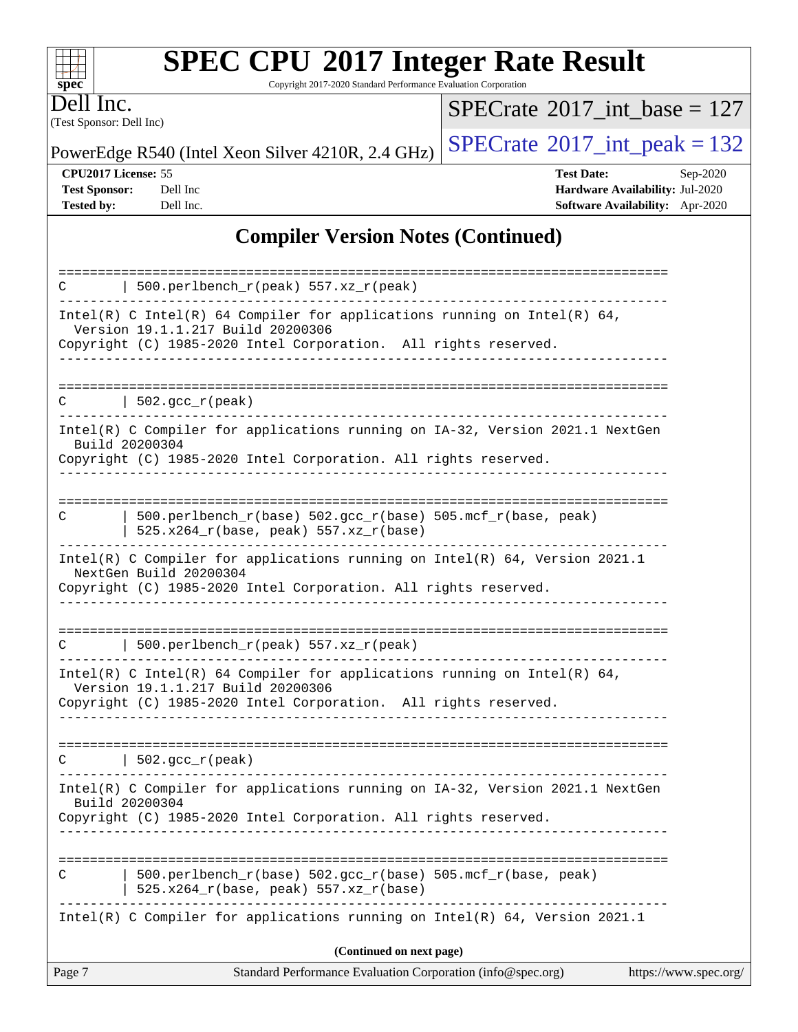## $\pm\,\mu$ **[spec](http://www.spec.org/)**

# **[SPEC CPU](http://www.spec.org/auto/cpu2017/Docs/result-fields.html#SPECCPU2017IntegerRateResult)[2017 Integer Rate Result](http://www.spec.org/auto/cpu2017/Docs/result-fields.html#SPECCPU2017IntegerRateResult)**

Copyright 2017-2020 Standard Performance Evaluation Corporation

(Test Sponsor: Dell Inc) Dell Inc.

 $SPECrate$ <sup>®</sup>[2017\\_int\\_base =](http://www.spec.org/auto/cpu2017/Docs/result-fields.html#SPECrate2017intbase) 127

PowerEdge R540 (Intel Xeon Silver 4210R, 2.4 GHz)  $\left|$  [SPECrate](http://www.spec.org/auto/cpu2017/Docs/result-fields.html#SPECrate2017intpeak)<sup>®</sup>[2017\\_int\\_peak = 1](http://www.spec.org/auto/cpu2017/Docs/result-fields.html#SPECrate2017intpeak)32

**[CPU2017 License:](http://www.spec.org/auto/cpu2017/Docs/result-fields.html#CPU2017License)** 55 **[Test Date:](http://www.spec.org/auto/cpu2017/Docs/result-fields.html#TestDate)** Sep-2020 **[Test Sponsor:](http://www.spec.org/auto/cpu2017/Docs/result-fields.html#TestSponsor)** Dell Inc **[Hardware Availability:](http://www.spec.org/auto/cpu2017/Docs/result-fields.html#HardwareAvailability)** Jul-2020 **[Tested by:](http://www.spec.org/auto/cpu2017/Docs/result-fields.html#Testedby)** Dell Inc. **[Software Availability:](http://www.spec.org/auto/cpu2017/Docs/result-fields.html#SoftwareAvailability)** Apr-2020

## **[Compiler Version Notes \(Continued\)](http://www.spec.org/auto/cpu2017/Docs/result-fields.html#CompilerVersionNotes)**

| Page 7<br>Standard Performance Evaluation Corporation (info@spec.org)<br>https://www.spec.org/                                                                                                                                                                                 |
|--------------------------------------------------------------------------------------------------------------------------------------------------------------------------------------------------------------------------------------------------------------------------------|
| (Continued on next page)                                                                                                                                                                                                                                                       |
| Intel(R) C Compiler for applications running on Intel(R) $64$ , Version 2021.1                                                                                                                                                                                                 |
| 500.perlbench_r(base) 502.gcc_r(base) 505.mcf_r(base, peak)<br>С<br>525.x264_r(base, peak) 557.xz_r(base)                                                                                                                                                                      |
| Intel(R) C Compiler for applications running on IA-32, Version 2021.1 NextGen<br>Build 20200304<br>Copyright (C) 1985-2020 Intel Corporation. All rights reserved.                                                                                                             |
| $\vert$ 502.gcc_r(peak)<br>C                                                                                                                                                                                                                                                   |
| Intel(R) C Intel(R) 64 Compiler for applications running on Intel(R) 64,<br>Version 19.1.1.217 Build 20200306<br>Copyright (C) 1985-2020 Intel Corporation. All rights reserved.                                                                                               |
| $500.perlbench_r(peak) 557. xz_r(peak)$<br>C                                                                                                                                                                                                                                   |
| Intel(R) C Compiler for applications running on Intel(R) $64$ , Version 2021.1<br>NextGen Build 20200304<br>Copyright (C) 1985-2020 Intel Corporation. All rights reserved.                                                                                                    |
| 500.perlbench_r(base) 502.gcc_r(base) 505.mcf_r(base, peak)<br>C<br>$525.x264_r(base, peak) 557.xz_r(base)$                                                                                                                                                                    |
| Intel(R) C Compiler for applications running on IA-32, Version 2021.1 NextGen<br>Build 20200304<br>Copyright (C) 1985-2020 Intel Corporation. All rights reserved.                                                                                                             |
| ====================================<br>$\vert$ 502.gcc_r(peak)<br>C.                                                                                                                                                                                                          |
| Intel(R) C Intel(R) 64 Compiler for applications running on Intel(R) 64,<br>Version 19.1.1.217 Build 20200306<br>Copyright (C) 1985-2020 Intel Corporation. All rights reserved.<br>$\begin{array}{cccccccccccccc} \bot & \bot & \bot & \bot & \bot & \bot & \bot \end{array}$ |
| 500.perlbench_r(peak) 557.xz_r(peak)<br>C                                                                                                                                                                                                                                      |
|                                                                                                                                                                                                                                                                                |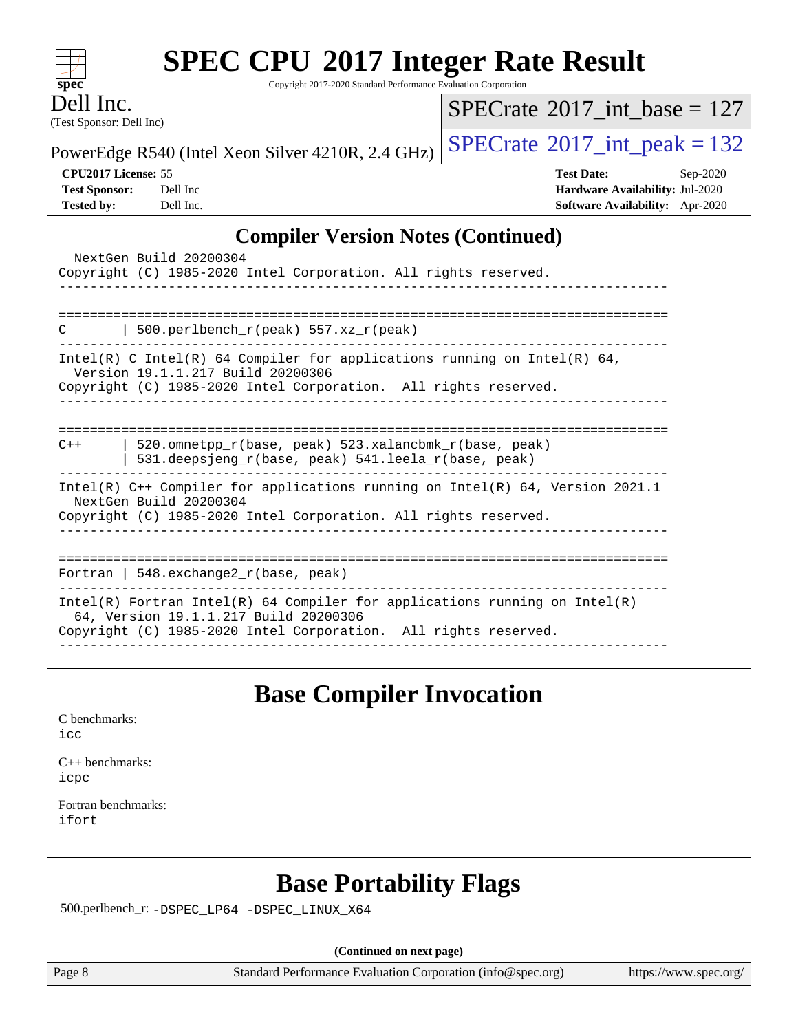Copyright 2017-2020 Standard Performance Evaluation Corporation

(Test Sponsor: Dell Inc) Dell Inc.

**[spec](http://www.spec.org/)**

 $+\ +$ 

 $SPECrate$ <sup>®</sup>[2017\\_int\\_base =](http://www.spec.org/auto/cpu2017/Docs/result-fields.html#SPECrate2017intbase) 127

PowerEdge R540 (Intel Xeon Silver 4210R, 2.4 GHz)  $\left|$  [SPECrate](http://www.spec.org/auto/cpu2017/Docs/result-fields.html#SPECrate2017intpeak)<sup>®</sup>[2017\\_int\\_peak = 1](http://www.spec.org/auto/cpu2017/Docs/result-fields.html#SPECrate2017intpeak)32

**[CPU2017 License:](http://www.spec.org/auto/cpu2017/Docs/result-fields.html#CPU2017License)** 55 **[Test Date:](http://www.spec.org/auto/cpu2017/Docs/result-fields.html#TestDate)** Sep-2020 **[Test Sponsor:](http://www.spec.org/auto/cpu2017/Docs/result-fields.html#TestSponsor)** Dell Inc **[Hardware Availability:](http://www.spec.org/auto/cpu2017/Docs/result-fields.html#HardwareAvailability)** Jul-2020 **[Tested by:](http://www.spec.org/auto/cpu2017/Docs/result-fields.html#Testedby)** Dell Inc. **[Software Availability:](http://www.spec.org/auto/cpu2017/Docs/result-fields.html#SoftwareAvailability)** Apr-2020

## **[Compiler Version Notes \(Continued\)](http://www.spec.org/auto/cpu2017/Docs/result-fields.html#CompilerVersionNotes)**

| NextGen Build 20200304                                                          |
|---------------------------------------------------------------------------------|
| Copyright (C) 1985-2020 Intel Corporation. All rights reserved.                 |
|                                                                                 |
|                                                                                 |
| 500.perlbench $r(\text{peak})$ 557.xz $r(\text{peak})$<br>C                     |
| $Intel(R)$ C Intel(R) 64 Compiler for applications running on Intel(R) 64,      |
| Version 19.1.1.217 Build 20200306                                               |
| Copyright (C) 1985-2020 Intel Corporation. All rights reserved.                 |
|                                                                                 |
|                                                                                 |
| 520.omnetpp r(base, peak) 523.xalancbmk r(base, peak)<br>$C++$                  |
| 531.deepsjeng $r(base, peak)$ 541.leela $r(base, peak)$                         |
| Intel(R) $C++$ Compiler for applications running on Intel(R) 64, Version 2021.1 |
| NextGen Build 20200304                                                          |
| Copyright (C) 1985-2020 Intel Corporation. All rights reserved.                 |
|                                                                                 |
|                                                                                 |
| Fortran   548.exchange2 $r(base, peak)$                                         |
| Intel(R) Fortran Intel(R) 64 Compiler for applications running on Intel(R)      |
| 64, Version 19.1.1.217 Build 20200306                                           |
| Copyright (C) 1985-2020 Intel Corporation. All rights reserved.                 |
|                                                                                 |

## **[Base Compiler Invocation](http://www.spec.org/auto/cpu2017/Docs/result-fields.html#BaseCompilerInvocation)**

[C benchmarks](http://www.spec.org/auto/cpu2017/Docs/result-fields.html#Cbenchmarks):

[icc](http://www.spec.org/cpu2017/results/res2020q4/cpu2017-20200928-24056.flags.html#user_CCbase_intel_icc_66fc1ee009f7361af1fbd72ca7dcefbb700085f36577c54f309893dd4ec40d12360134090235512931783d35fd58c0460139e722d5067c5574d8eaf2b3e37e92)

[C++ benchmarks:](http://www.spec.org/auto/cpu2017/Docs/result-fields.html#CXXbenchmarks) [icpc](http://www.spec.org/cpu2017/results/res2020q4/cpu2017-20200928-24056.flags.html#user_CXXbase_intel_icpc_c510b6838c7f56d33e37e94d029a35b4a7bccf4766a728ee175e80a419847e808290a9b78be685c44ab727ea267ec2f070ec5dc83b407c0218cded6866a35d07)

[Fortran benchmarks](http://www.spec.org/auto/cpu2017/Docs/result-fields.html#Fortranbenchmarks): [ifort](http://www.spec.org/cpu2017/results/res2020q4/cpu2017-20200928-24056.flags.html#user_FCbase_intel_ifort_8111460550e3ca792625aed983ce982f94888b8b503583aa7ba2b8303487b4d8a21a13e7191a45c5fd58ff318f48f9492884d4413fa793fd88dd292cad7027ca)

# **[Base Portability Flags](http://www.spec.org/auto/cpu2017/Docs/result-fields.html#BasePortabilityFlags)**

500.perlbench\_r: [-DSPEC\\_LP64](http://www.spec.org/cpu2017/results/res2020q4/cpu2017-20200928-24056.flags.html#b500.perlbench_r_basePORTABILITY_DSPEC_LP64) [-DSPEC\\_LINUX\\_X64](http://www.spec.org/cpu2017/results/res2020q4/cpu2017-20200928-24056.flags.html#b500.perlbench_r_baseCPORTABILITY_DSPEC_LINUX_X64)

**(Continued on next page)**

Page 8 Standard Performance Evaluation Corporation [\(info@spec.org\)](mailto:info@spec.org) <https://www.spec.org/>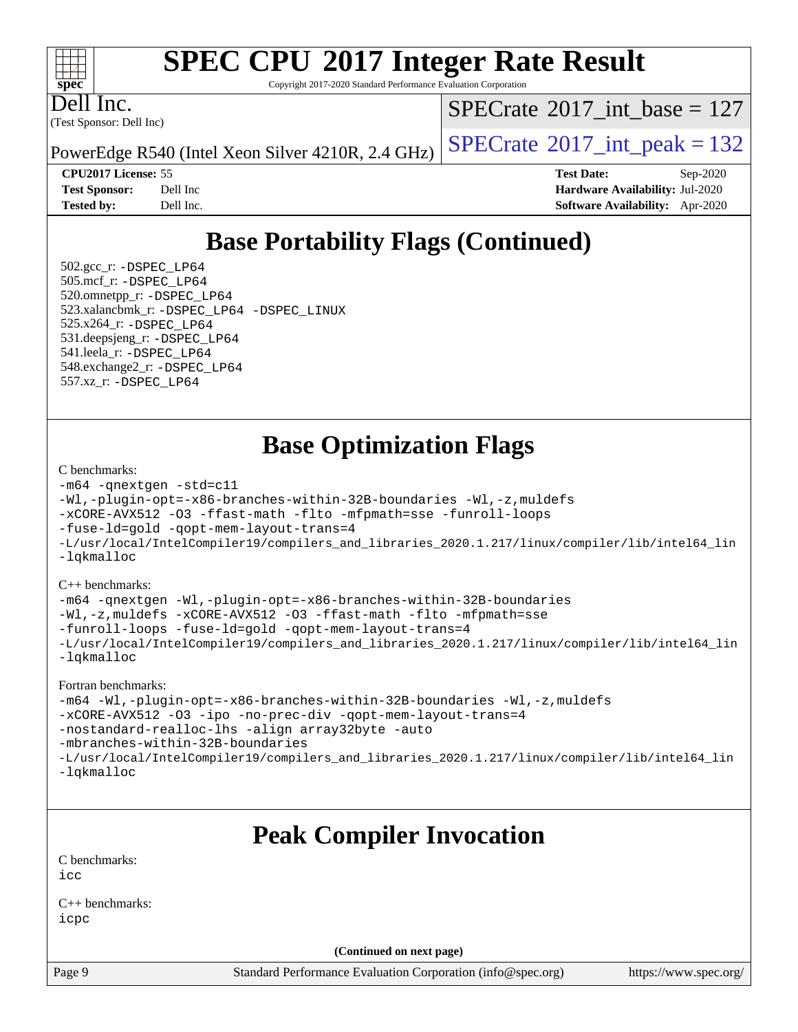### $\pm\pm\tau$ **[spec](http://www.spec.org/)**

# **[SPEC CPU](http://www.spec.org/auto/cpu2017/Docs/result-fields.html#SPECCPU2017IntegerRateResult)[2017 Integer Rate Result](http://www.spec.org/auto/cpu2017/Docs/result-fields.html#SPECCPU2017IntegerRateResult)**

Copyright 2017-2020 Standard Performance Evaluation Corporation

(Test Sponsor: Dell Inc) Dell Inc.

 $SPECTate$ <sup>®</sup>[2017\\_int\\_base =](http://www.spec.org/auto/cpu2017/Docs/result-fields.html#SPECrate2017intbase) 127

PowerEdge R540 (Intel Xeon Silver 4210R, 2.4 GHz)  $\left|$  [SPECrate](http://www.spec.org/auto/cpu2017/Docs/result-fields.html#SPECrate2017intpeak)<sup>®</sup>[2017\\_int\\_peak = 1](http://www.spec.org/auto/cpu2017/Docs/result-fields.html#SPECrate2017intpeak)32

**[CPU2017 License:](http://www.spec.org/auto/cpu2017/Docs/result-fields.html#CPU2017License)** 55 **[Test Date:](http://www.spec.org/auto/cpu2017/Docs/result-fields.html#TestDate)** Sep-2020 **[Test Sponsor:](http://www.spec.org/auto/cpu2017/Docs/result-fields.html#TestSponsor)** Dell Inc **[Hardware Availability:](http://www.spec.org/auto/cpu2017/Docs/result-fields.html#HardwareAvailability)** Jul-2020 **[Tested by:](http://www.spec.org/auto/cpu2017/Docs/result-fields.html#Testedby)** Dell Inc. **[Software Availability:](http://www.spec.org/auto/cpu2017/Docs/result-fields.html#SoftwareAvailability)** Apr-2020

# **[Base Portability Flags \(Continued\)](http://www.spec.org/auto/cpu2017/Docs/result-fields.html#BasePortabilityFlags)**

 502.gcc\_r: [-DSPEC\\_LP64](http://www.spec.org/cpu2017/results/res2020q4/cpu2017-20200928-24056.flags.html#suite_basePORTABILITY502_gcc_r_DSPEC_LP64) 505.mcf\_r: [-DSPEC\\_LP64](http://www.spec.org/cpu2017/results/res2020q4/cpu2017-20200928-24056.flags.html#suite_basePORTABILITY505_mcf_r_DSPEC_LP64) 520.omnetpp\_r: [-DSPEC\\_LP64](http://www.spec.org/cpu2017/results/res2020q4/cpu2017-20200928-24056.flags.html#suite_basePORTABILITY520_omnetpp_r_DSPEC_LP64) 523.xalancbmk\_r: [-DSPEC\\_LP64](http://www.spec.org/cpu2017/results/res2020q4/cpu2017-20200928-24056.flags.html#suite_basePORTABILITY523_xalancbmk_r_DSPEC_LP64) [-DSPEC\\_LINUX](http://www.spec.org/cpu2017/results/res2020q4/cpu2017-20200928-24056.flags.html#b523.xalancbmk_r_baseCXXPORTABILITY_DSPEC_LINUX) 525.x264\_r: [-DSPEC\\_LP64](http://www.spec.org/cpu2017/results/res2020q4/cpu2017-20200928-24056.flags.html#suite_basePORTABILITY525_x264_r_DSPEC_LP64) 531.deepsjeng\_r: [-DSPEC\\_LP64](http://www.spec.org/cpu2017/results/res2020q4/cpu2017-20200928-24056.flags.html#suite_basePORTABILITY531_deepsjeng_r_DSPEC_LP64) 541.leela\_r: [-DSPEC\\_LP64](http://www.spec.org/cpu2017/results/res2020q4/cpu2017-20200928-24056.flags.html#suite_basePORTABILITY541_leela_r_DSPEC_LP64) 548.exchange2\_r: [-DSPEC\\_LP64](http://www.spec.org/cpu2017/results/res2020q4/cpu2017-20200928-24056.flags.html#suite_basePORTABILITY548_exchange2_r_DSPEC_LP64) 557.xz\_r: [-DSPEC\\_LP64](http://www.spec.org/cpu2017/results/res2020q4/cpu2017-20200928-24056.flags.html#suite_basePORTABILITY557_xz_r_DSPEC_LP64)

# **[Base Optimization Flags](http://www.spec.org/auto/cpu2017/Docs/result-fields.html#BaseOptimizationFlags)**

#### [C benchmarks](http://www.spec.org/auto/cpu2017/Docs/result-fields.html#Cbenchmarks):

```
-m64 -qnextgen -std=c11
-Wl,-plugin-opt=-x86-branches-within-32B-boundaries -Wl,-z,muldefs
-xCORE-AVX512 -O3 -ffast-math -flto -mfpmath=sse -funroll-loops
-fuse-ld=gold -qopt-mem-layout-trans=4
-L/usr/local/IntelCompiler19/compilers_and_libraries_2020.1.217/linux/compiler/lib/intel64_lin
-lqkmalloc
```
#### [C++ benchmarks](http://www.spec.org/auto/cpu2017/Docs/result-fields.html#CXXbenchmarks):

```
-m64 -qnextgen -Wl,-plugin-opt=-x86-branches-within-32B-boundaries
-Wl,-z,muldefs -xCORE-AVX512 -O3 -ffast-math -flto -mfpmath=sse
-funroll-loops -fuse-ld=gold -qopt-mem-layout-trans=4
-L/usr/local/IntelCompiler19/compilers_and_libraries_2020.1.217/linux/compiler/lib/intel64_lin
-lqkmalloc
```
#### [Fortran benchmarks:](http://www.spec.org/auto/cpu2017/Docs/result-fields.html#Fortranbenchmarks)

```
-m64 -Wl,-plugin-opt=-x86-branches-within-32B-boundaries -Wl,-z,muldefs
-xCORE-AVX512 -O3 -ipo -no-prec-div -qopt-mem-layout-trans=4
-nostandard-realloc-lhs -align array32byte -auto
-mbranches-within-32B-boundaries
-L/usr/local/IntelCompiler19/compilers_and_libraries_2020.1.217/linux/compiler/lib/intel64_lin
-lqkmalloc
```
# **[Peak Compiler Invocation](http://www.spec.org/auto/cpu2017/Docs/result-fields.html#PeakCompilerInvocation)**

[C benchmarks](http://www.spec.org/auto/cpu2017/Docs/result-fields.html#Cbenchmarks):  $i$ cc

[C++ benchmarks:](http://www.spec.org/auto/cpu2017/Docs/result-fields.html#CXXbenchmarks) [icpc](http://www.spec.org/cpu2017/results/res2020q4/cpu2017-20200928-24056.flags.html#user_CXXpeak_intel_icpc_c510b6838c7f56d33e37e94d029a35b4a7bccf4766a728ee175e80a419847e808290a9b78be685c44ab727ea267ec2f070ec5dc83b407c0218cded6866a35d07)

**(Continued on next page)**

Page 9 Standard Performance Evaluation Corporation [\(info@spec.org\)](mailto:info@spec.org) <https://www.spec.org/>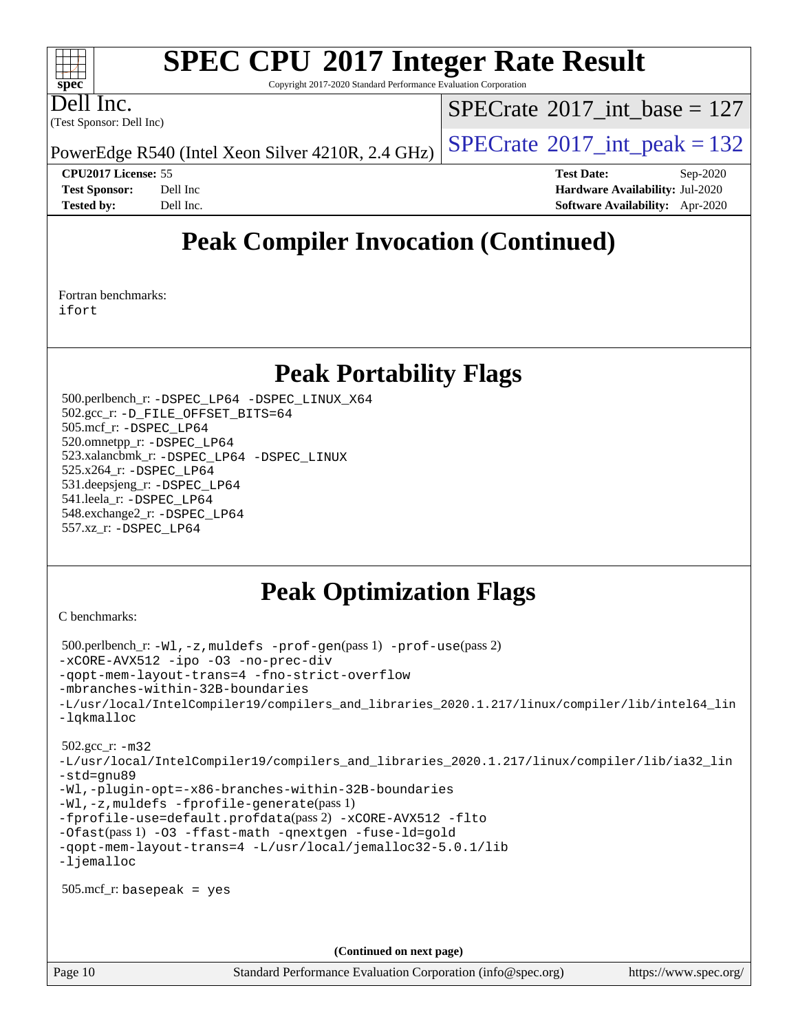Copyright 2017-2020 Standard Performance Evaluation Corporation

Dell Inc.

**[spec](http://www.spec.org/)**

 $\pm\pm\tau$ 

(Test Sponsor: Dell Inc)

 $SPECTate@2017_int\_base = 127$ 

PowerEdge R540 (Intel Xeon Silver 4210R, 2.4 GHz)  $\left|$  [SPECrate](http://www.spec.org/auto/cpu2017/Docs/result-fields.html#SPECrate2017intpeak)<sup>®</sup>[2017\\_int\\_peak = 1](http://www.spec.org/auto/cpu2017/Docs/result-fields.html#SPECrate2017intpeak)32

**[Tested by:](http://www.spec.org/auto/cpu2017/Docs/result-fields.html#Testedby)** Dell Inc. **[Software Availability:](http://www.spec.org/auto/cpu2017/Docs/result-fields.html#SoftwareAvailability)** Apr-2020

**[CPU2017 License:](http://www.spec.org/auto/cpu2017/Docs/result-fields.html#CPU2017License)** 55 **[Test Date:](http://www.spec.org/auto/cpu2017/Docs/result-fields.html#TestDate)** Sep-2020 **[Test Sponsor:](http://www.spec.org/auto/cpu2017/Docs/result-fields.html#TestSponsor)** Dell Inc **[Hardware Availability:](http://www.spec.org/auto/cpu2017/Docs/result-fields.html#HardwareAvailability)** Jul-2020

# **[Peak Compiler Invocation \(Continued\)](http://www.spec.org/auto/cpu2017/Docs/result-fields.html#PeakCompilerInvocation)**

[Fortran benchmarks](http://www.spec.org/auto/cpu2017/Docs/result-fields.html#Fortranbenchmarks): [ifort](http://www.spec.org/cpu2017/results/res2020q4/cpu2017-20200928-24056.flags.html#user_FCpeak_intel_ifort_8111460550e3ca792625aed983ce982f94888b8b503583aa7ba2b8303487b4d8a21a13e7191a45c5fd58ff318f48f9492884d4413fa793fd88dd292cad7027ca)

# **[Peak Portability Flags](http://www.spec.org/auto/cpu2017/Docs/result-fields.html#PeakPortabilityFlags)**

 500.perlbench\_r: [-DSPEC\\_LP64](http://www.spec.org/cpu2017/results/res2020q4/cpu2017-20200928-24056.flags.html#b500.perlbench_r_peakPORTABILITY_DSPEC_LP64) [-DSPEC\\_LINUX\\_X64](http://www.spec.org/cpu2017/results/res2020q4/cpu2017-20200928-24056.flags.html#b500.perlbench_r_peakCPORTABILITY_DSPEC_LINUX_X64) 502.gcc\_r: [-D\\_FILE\\_OFFSET\\_BITS=64](http://www.spec.org/cpu2017/results/res2020q4/cpu2017-20200928-24056.flags.html#user_peakPORTABILITY502_gcc_r_file_offset_bits_64_5ae949a99b284ddf4e95728d47cb0843d81b2eb0e18bdfe74bbf0f61d0b064f4bda2f10ea5eb90e1dcab0e84dbc592acfc5018bc955c18609f94ddb8d550002c) 505.mcf\_r: [-DSPEC\\_LP64](http://www.spec.org/cpu2017/results/res2020q4/cpu2017-20200928-24056.flags.html#suite_peakPORTABILITY505_mcf_r_DSPEC_LP64) 520.omnetpp\_r: [-DSPEC\\_LP64](http://www.spec.org/cpu2017/results/res2020q4/cpu2017-20200928-24056.flags.html#suite_peakPORTABILITY520_omnetpp_r_DSPEC_LP64) 523.xalancbmk\_r: [-DSPEC\\_LP64](http://www.spec.org/cpu2017/results/res2020q4/cpu2017-20200928-24056.flags.html#suite_peakPORTABILITY523_xalancbmk_r_DSPEC_LP64) [-DSPEC\\_LINUX](http://www.spec.org/cpu2017/results/res2020q4/cpu2017-20200928-24056.flags.html#b523.xalancbmk_r_peakCXXPORTABILITY_DSPEC_LINUX) 525.x264\_r: [-DSPEC\\_LP64](http://www.spec.org/cpu2017/results/res2020q4/cpu2017-20200928-24056.flags.html#suite_peakPORTABILITY525_x264_r_DSPEC_LP64) 531.deepsjeng\_r: [-DSPEC\\_LP64](http://www.spec.org/cpu2017/results/res2020q4/cpu2017-20200928-24056.flags.html#suite_peakPORTABILITY531_deepsjeng_r_DSPEC_LP64) 541.leela\_r: [-DSPEC\\_LP64](http://www.spec.org/cpu2017/results/res2020q4/cpu2017-20200928-24056.flags.html#suite_peakPORTABILITY541_leela_r_DSPEC_LP64) 548.exchange2\_r: [-DSPEC\\_LP64](http://www.spec.org/cpu2017/results/res2020q4/cpu2017-20200928-24056.flags.html#suite_peakPORTABILITY548_exchange2_r_DSPEC_LP64) 557.xz\_r: [-DSPEC\\_LP64](http://www.spec.org/cpu2017/results/res2020q4/cpu2017-20200928-24056.flags.html#suite_peakPORTABILITY557_xz_r_DSPEC_LP64)

# **[Peak Optimization Flags](http://www.spec.org/auto/cpu2017/Docs/result-fields.html#PeakOptimizationFlags)**

[C benchmarks](http://www.spec.org/auto/cpu2017/Docs/result-fields.html#Cbenchmarks):

```
 500.perlbench_r: -Wl,-z,muldefs -prof-gen(pass 1) -prof-use(pass 2)
-xCORE-AVX512 -ipo -O3 -no-prec-div
-qopt-mem-layout-trans=4 -fno-strict-overflow
-mbranches-within-32B-boundaries
-L/usr/local/IntelCompiler19/compilers_and_libraries_2020.1.217/linux/compiler/lib/intel64_lin
-lqkmalloc
 502.gcc_r: -m32
-L/usr/local/IntelCompiler19/compilers_and_libraries_2020.1.217/linux/compiler/lib/ia32_lin
-std=gnu89
-Wl,-plugin-opt=-x86-branches-within-32B-boundaries
-Wl,-z,muldefs -fprofile-generate(pass 1)
-fprofile-use=default.profdata(pass 2) -xCORE-AVX512 -flto
-Ofast(pass 1) -O3 -ffast-math -qnextgen -fuse-ld=gold
-qopt-mem-layout-trans=4 -L/usr/local/jemalloc32-5.0.1/lib
-ljemalloc
 505.mcf_r: basepeak = yes
```
**(Continued on next page)**